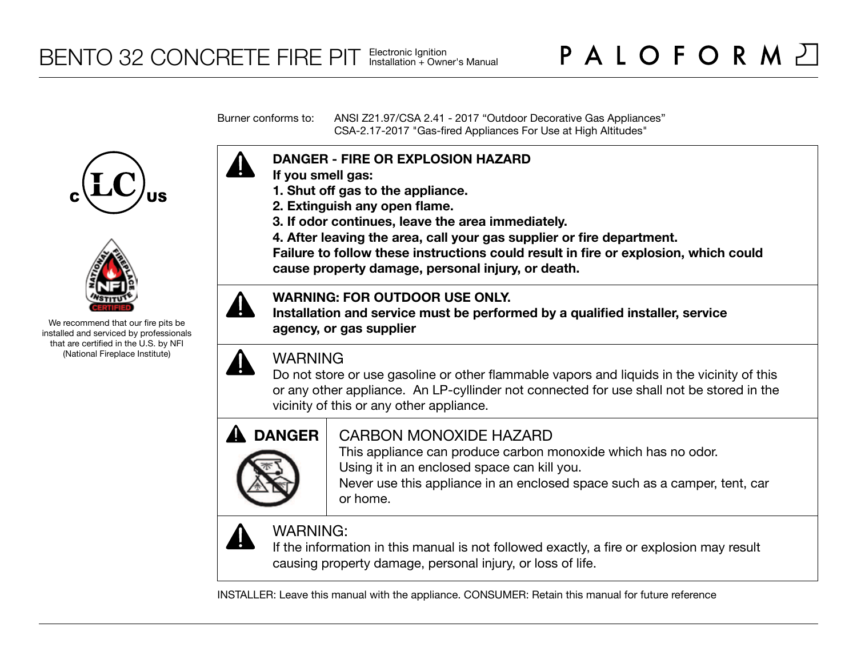Burner conforms to: ANSI Z21.97/CSA 2.41 - 2017 "Outdoor Decorative Gas Appliances" CSA-2.17-2017 "Gas-fired Appliances For Use at High Altitudes"





We recommend that our fire pits be installed and serviced by professionals that are certified in the U.S. by NFI (National Fireplace Institute)



- **If you smell gas:**
- **1. Shut off gas to the appliance.**
- **2. Extinguish any open flame.**
- **3. If odor continues, leave the area immediately.**
- **4. After leaving the area, call your gas supplier or fire department.**

**Failure to follow these instructions could result in fire or explosion, which could cause property damage, personal injury, or death.**

# **WARNING: FOR OUTDOOR USE ONLY.**

**Installation and service must be performed by a qualified installer, service agency, or gas supplier**



# WARNING

Do not store or use gasoline or other flammable vapors and liquids in the vicinity of this or any other appliance. An LP-cyllinder not connected for use shall not be stored in the vicinity of this or any other appliance.



# CARBON MONOXIDE HAZARD

This appliance can produce carbon monoxide which has no odor. Using it in an enclosed space can kill you.

Never use this appliance in an enclosed space such as a camper, tent, car or home.



# WARNING:

If the information in this manual is not followed exactly, a fire or explosion may result causing property damage, personal injury, or loss of life.

INSTALLER: Leave this manual with the appliance. CONSUMER: Retain this manual for future reference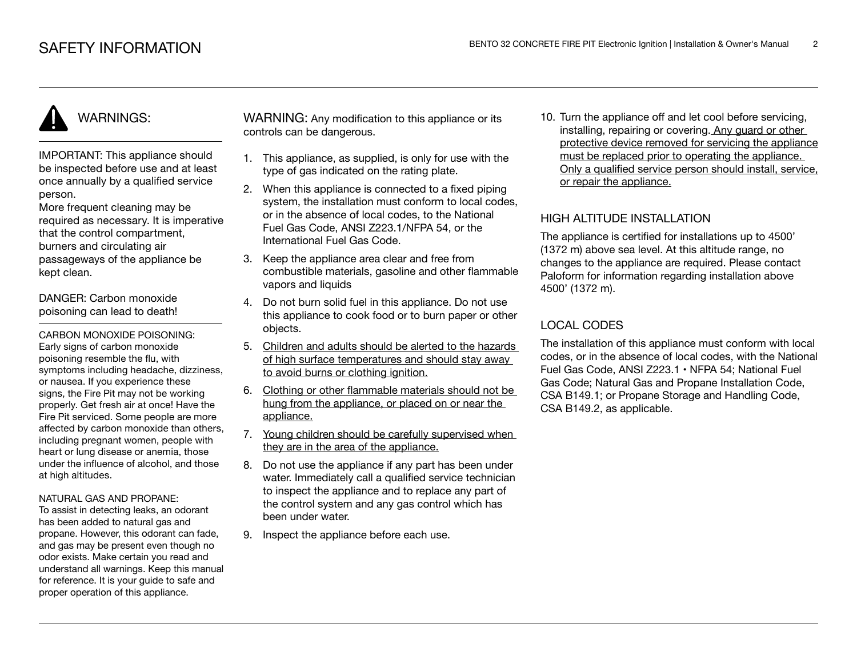IMPORTANT: This appliance should be inspected before use and at least once annually by a qualified service person.

More frequent cleaning may be required as necessary. It is imperative that the control compartment, burners and circulating air passageways of the appliance be kept clean.

DANGER: Carbon monoxide poisoning can lead to death!

CARBON MONOXIDE POISONING: Early signs of carbon monoxide poisoning resemble the flu, with symptoms including headache, dizziness, or nausea. If you experience these signs, the Fire Pit may not be working properly. Get fresh air at once! Have the Fire Pit serviced. Some people are more affected by carbon monoxide than others, including pregnant women, people with heart or lung disease or anemia, those under the influence of alcohol, and those at high altitudes.

#### NATURAL GAS AND PROPANE:

To assist in detecting leaks, an odorant has been added to natural gas and propane. However, this odorant can fade, and gas may be present even though no odor exists. Make certain you read and understand all warnings. Keep this manual for reference. It is your guide to safe and proper operation of this appliance.

WARNING: Any modification to this appliance or its controls can be dangerous.

- 1. This appliance, as supplied, is only for use with the type of gas indicated on the rating plate.
- 2. When this appliance is connected to a fixed piping system, the installation must conform to local codes. or in the absence of local codes, to the National Fuel Gas Code, ANSI Z223.1/NFPA 54, or the International Fuel Gas Code.
- 3. Keep the appliance area clear and free from combustible materials, gasoline and other flammable vapors and liquids
- 4. Do not burn solid fuel in this appliance. Do not use this appliance to cook food or to burn paper or other objects.
- 5. Children and adults should be alerted to the hazards of high surface temperatures and should stay away to avoid burns or clothing ignition.
- 6. Clothing or other flammable materials should not be hung from the appliance, or placed on or near the appliance.
- 7. Young children should be carefully supervised when they are in the area of the appliance.
- 8. Do not use the appliance if any part has been under water. Immediately call a qualified service technician to inspect the appliance and to replace any part of the control system and any gas control which has been under water.
- 9. Inspect the appliance before each use.

10. Turn the appliance off and let cool before servicing, installing, repairing or covering. Any guard or other protective device removed for servicing the appliance must be replaced prior to operating the appliance. Only a qualified service person should install, service, or repair the appliance.

# HIGH ALTITUDE INSTALLATION

The appliance is certified for installations up to 4500' (1372 m) above sea level. At this altitude range, no changes to the appliance are required. Please contact Paloform for information regarding installation above 4500' (1372 m).

# LOCAL CODES

The installation of this appliance must conform with local codes, or in the absence of local codes, with the National Fuel Gas Code, ANSI Z223.1 • NFPA 54; National Fuel Gas Code; Natural Gas and Propane Installation Code, CSA B149.1; or Propane Storage and Handling Code, CSA B149.2, as applicable.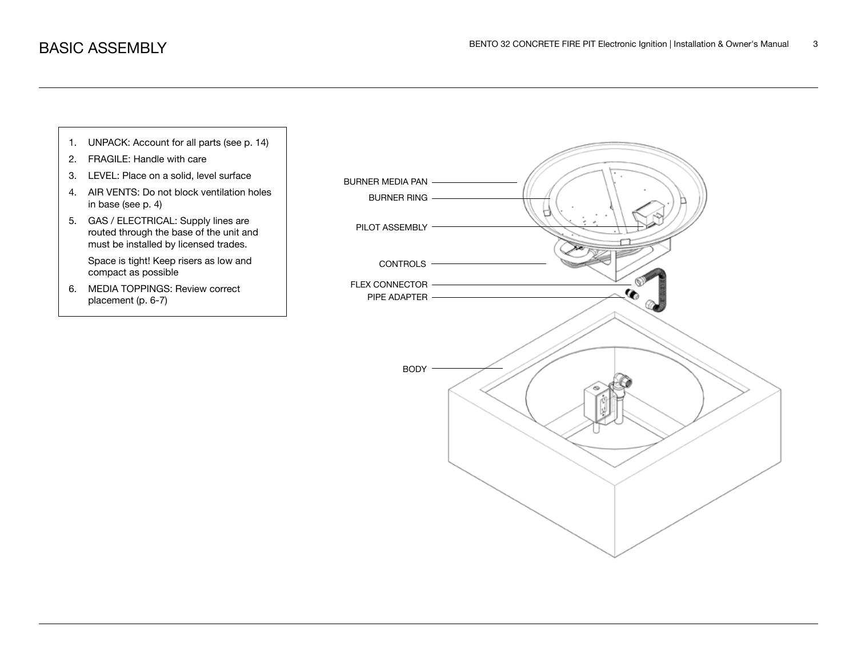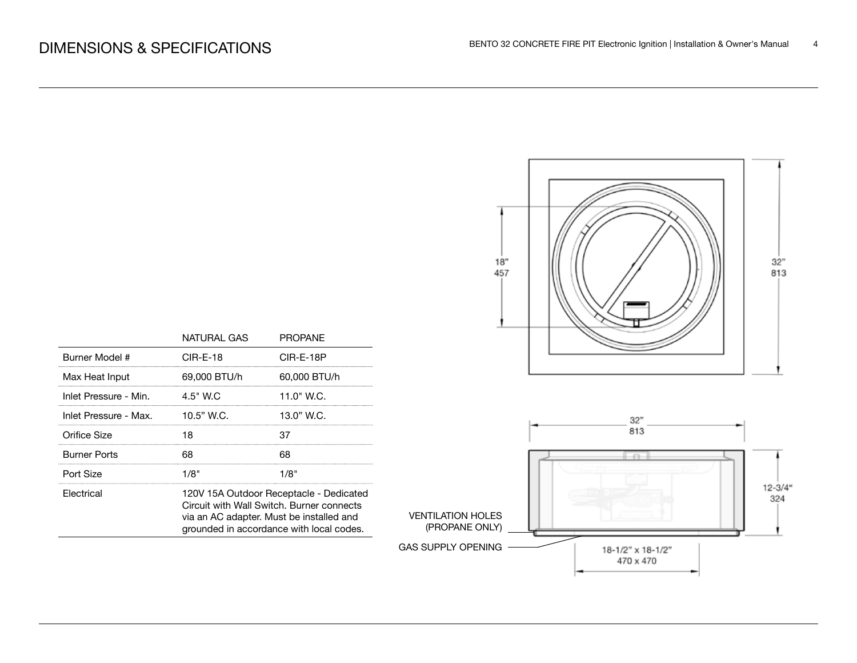

|                       | NATURAL GAS                                                                                                                                                                  | <b>PROPANE</b> |  |
|-----------------------|------------------------------------------------------------------------------------------------------------------------------------------------------------------------------|----------------|--|
| Burner Model #        | $CIR-E-18$                                                                                                                                                                   | CIR-E-18P      |  |
| Max Heat Input        | 69.000 BTU/h                                                                                                                                                                 | 60.000 BTU/h   |  |
| Inlet Pressure - Min. | $4.5"$ W.C                                                                                                                                                                   | 11.0" W.C.     |  |
| Inlet Pressure - Max. | 10.5" W.C.                                                                                                                                                                   | 13.0" W.C.     |  |
| Orifice Size          | 18                                                                                                                                                                           | 37             |  |
| Burner Ports          | 68                                                                                                                                                                           | 68             |  |
| Port Size             | 1/8"                                                                                                                                                                         | 1/8"           |  |
| Electrical            | 120V 15A Outdoor Receptacle - Dedicated<br>Circuit with Wall Switch, Burner connects<br>via an AC adapter. Must be installed and<br>grounded in accordance with local codes. |                |  |
|                       |                                                                                                                                                                              |                |  |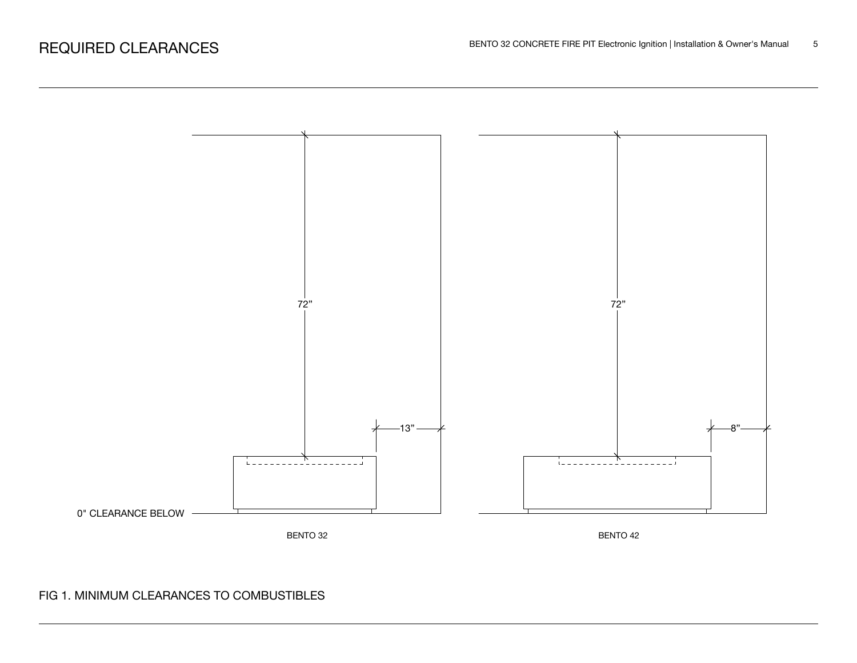

# FIG 1. MINIMUM CLEARANCES TO COMBUSTIBLES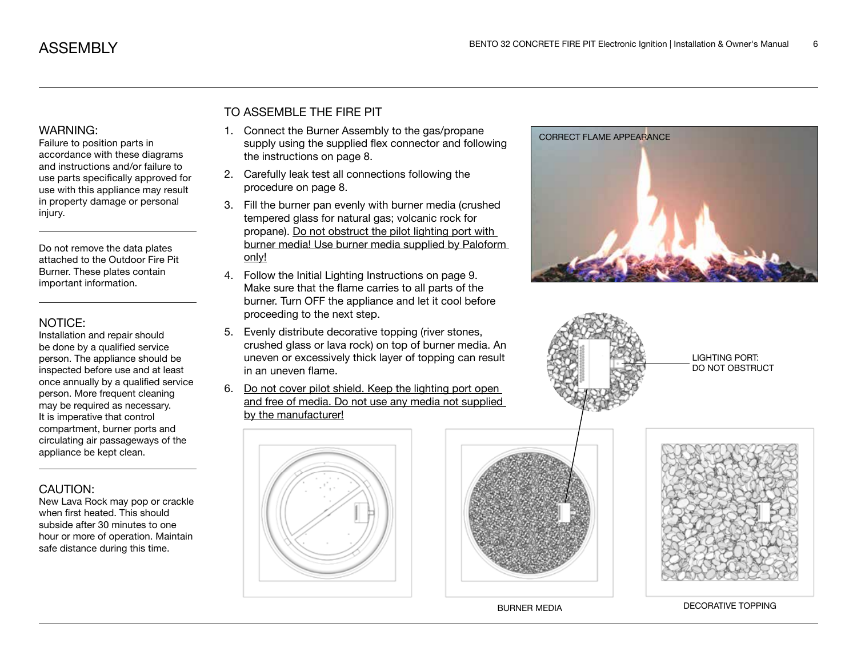Failure to position parts in accordance with these diagrams and instructions and/or failure to use parts specifically approved for use with this appliance may result in property damage or personal injury.

Do not remove the data plates attached to the Outdoor Fire Pit Burner. These plates contain important information.

#### NOTICE:

Installation and repair should be done by a qualified service person. The appliance should be inspected before use and at least once annually by a qualified service person. More frequent cleaning may be required as necessary. It is imperative that control compartment, burner ports and circulating air passageways of the appliance be kept clean.

# CAUTION:

New Lava Rock may pop or crackle when first heated. This should subside after 30 minutes to one hour or more of operation. Maintain safe distance during this time.

# TO ASSEMBLE THE FIRE PIT

- 1. Connect the Burner Assembly to the gas/propane supply using the supplied flex connector and following the instructions on page 8.
- 2. Carefully leak test all connections following the procedure on page 8.
- 3. Fill the burner pan evenly with burner media (crushed tempered glass for natural gas; volcanic rock for propane). Do not obstruct the pilot lighting port with burner media! Use burner media supplied by Paloform only!
- 4. Follow the Initial Lighting Instructions on page 9. Make sure that the flame carries to all parts of the burner. Turn OFF the appliance and let it cool before proceeding to the next step.
- 5. Evenly distribute decorative topping (river stones, crushed glass or lava rock) on top of burner media. An uneven or excessively thick layer of topping can result in an uneven flame.
- 6. Do not cover pilot shield. Keep the lighting port open and free of media. Do not use any media not supplied by the manufacturer!









LIGHTING PORT: DO NOT OBSTRUCT



BURNER MEDIA DECORATIVE TOPPING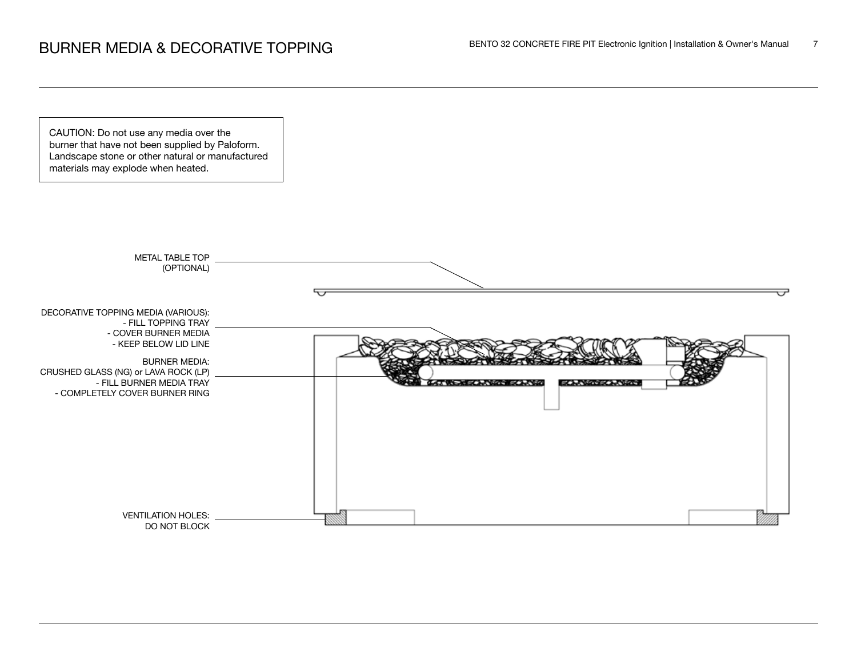CAUTION: Do not use any media over the burner that have not been supplied by Paloform. Landscape stone or other natural or manufactured materials may explode when heated.

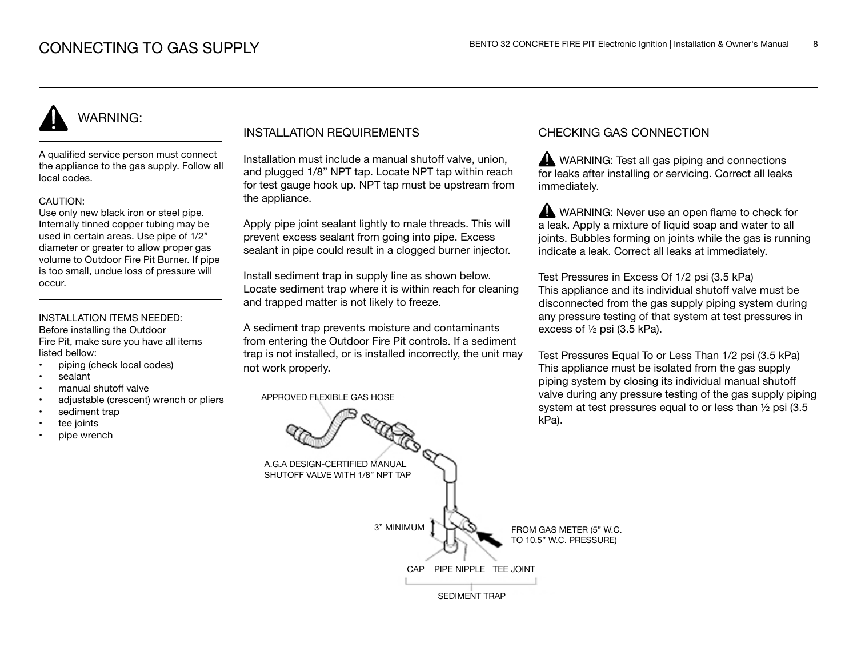A qualified service person must connect the appliance to the gas supply. Follow all local codes.

#### CAUTION:

Use only new black iron or steel pipe. Internally tinned copper tubing may be used in certain areas. Use pipe of 1/2" diameter or greater to allow proper gas volume to Outdoor Fire Pit Burner. If pipe is too small, undue loss of pressure will occur.

### INSTALLATION ITEMS NEEDED:

Before installing the Outdoor Fire Pit, make sure you have all items listed bellow:

- piping (check local codes)
- sealant
- manual shutoff valve
- adjustable (crescent) wrench or pliers
- sediment trap
- tee joints
- pipe wrench

## INSTALLATION REQUIREMENTS

Installation must include a manual shutoff valve, union, and plugged 1/8" NPT tap. Locate NPT tap within reach for test gauge hook up. NPT tap must be upstream from the appliance.

Apply pipe joint sealant lightly to male threads. This will prevent excess sealant from going into pipe. Excess sealant in pipe could result in a clogged burner injector.

Install sediment trap in supply line as shown below. Locate sediment trap where it is within reach for cleaning and trapped matter is not likely to freeze.

A sediment trap prevents moisture and contaminants from entering the Outdoor Fire Pit controls. If a sediment trap is not installed, or is installed incorrectly, the unit may not work properly.

APPROVED FLEXIBLE GAS HOSE

## CHECKING GAS CONNECTION

WARNING: Test all gas piping and connections for leaks after installing or servicing. Correct all leaks immediately.

WARNING: Never use an open flame to check for a leak. Apply a mixture of liquid soap and water to all joints. Bubbles forming on joints while the gas is running indicate a leak. Correct all leaks at immediately.

Test Pressures in Excess Of 1/2 psi (3.5 kPa) This appliance and its individual shutoff valve must be disconnected from the gas supply piping system during any pressure testing of that system at test pressures in excess of ½ psi (3.5 kPa).

Test Pressures Equal To or Less Than 1/2 psi (3.5 kPa) This appliance must be isolated from the gas supply piping system by closing its individual manual shutoff valve during any pressure testing of the gas supply piping system at test pressures equal to or less than ½ psi (3.5 kPa).

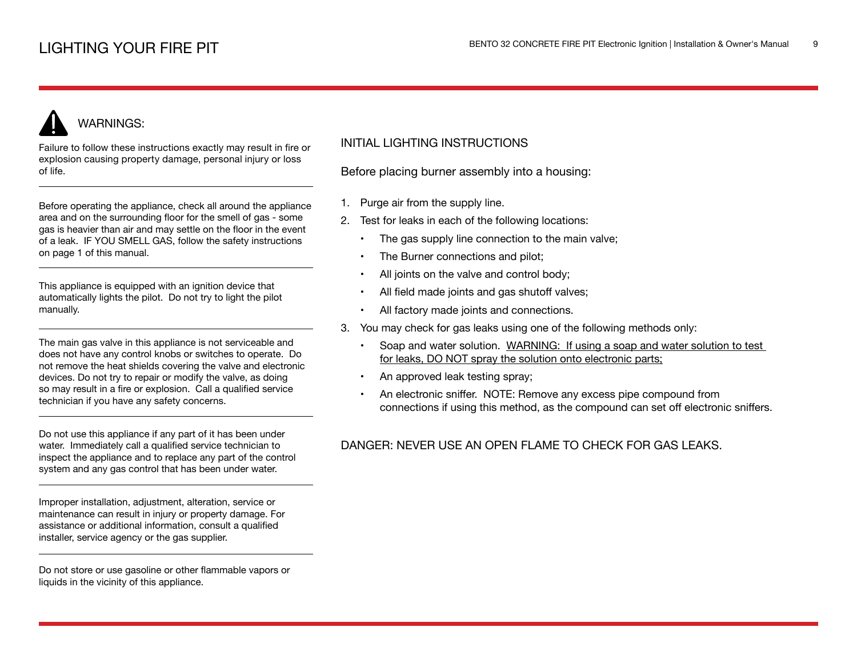Failure to follow these instructions exactly may result in fire or explosion causing property damage, personal injury or loss of life.

Before operating the appliance, check all around the appliance area and on the surrounding floor for the smell of gas - some gas is heavier than air and may settle on the floor in the event of a leak. IF YOU SMELL GAS, follow the safety instructions on page 1 of this manual.

This appliance is equipped with an ignition device that automatically lights the pilot. Do not try to light the pilot manually.

The main gas valve in this appliance is not serviceable and does not have any control knobs or switches to operate. Do not remove the heat shields covering the valve and electronic devices. Do not try to repair or modify the valve, as doing so may result in a fire or explosion. Call a qualified service technician if you have any safety concerns.

Do not use this appliance if any part of it has been under water. Immediately call a qualified service technician to inspect the appliance and to replace any part of the control system and any gas control that has been under water.

Improper installation, adjustment, alteration, service or maintenance can result in injury or property damage. For assistance or additional information, consult a qualified installer, service agency or the gas supplier.

Do not store or use gasoline or other flammable vapors or liquids in the vicinity of this appliance.

## INITIAL LIGHTING INSTRUCTIONS

Before placing burner assembly into a housing:

- 1. Purge air from the supply line.
- 2. Test for leaks in each of the following locations:
	- The gas supply line connection to the main valve;
	- The Burner connections and pilot;
	- All joints on the valve and control body;
	- All field made joints and gas shutoff valves;
	- All factory made joints and connections.
- 3. You may check for gas leaks using one of the following methods only:
	- Soap and water solution. WARNING: If using a soap and water solution to test for leaks, DO NOT spray the solution onto electronic parts;
	- An approved leak testing spray;
	- An electronic sniffer. NOTE: Remove any excess pipe compound from connections if using this method, as the compound can set off electronic sniffers.

# DANGER: NEVER USE AN OPEN FLAME TO CHECK FOR GAS LEAKS.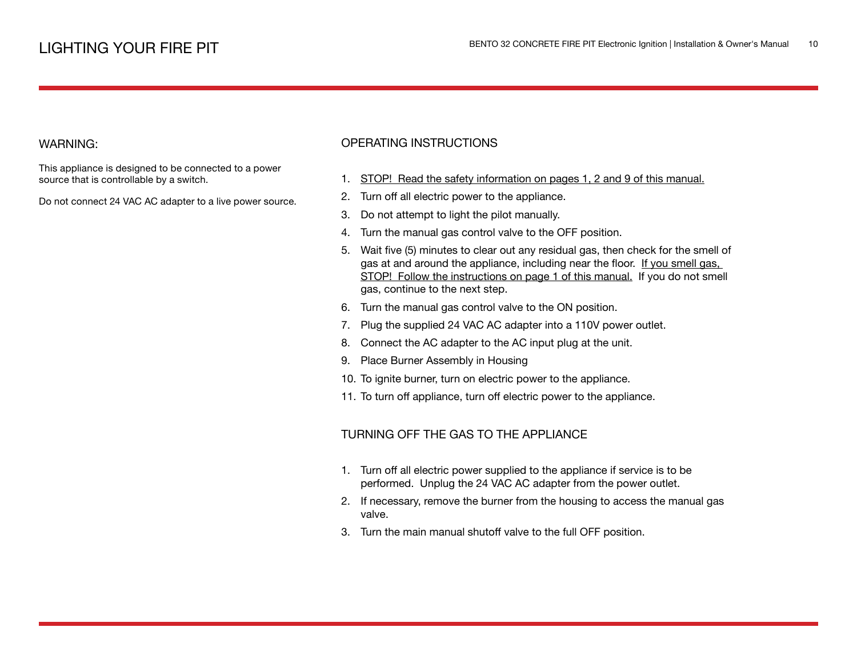This appliance is designed to be connected to a power source that is controllable by a switch.

Do not connect 24 VAC AC adapter to a live power source.

## OPERATING INSTRUCTIONS

- 1. STOP! Read the safety information on pages 1, 2 and 9 of this manual.
- 2. Turn off all electric power to the appliance.
- 3. Do not attempt to light the pilot manually.
- 4. Turn the manual gas control valve to the OFF position.
- 5. Wait five (5) minutes to clear out any residual gas, then check for the smell of gas at and around the appliance, including near the floor. If you smell gas, STOP! Follow the instructions on page 1 of this manual. If you do not smell gas, continue to the next step.
- 6. Turn the manual gas control valve to the ON position.
- 7. Plug the supplied 24 VAC AC adapter into a 110V power outlet.
- 8. Connect the AC adapter to the AC input plug at the unit.
- 9. Place Burner Assembly in Housing
- 10. To ignite burner, turn on electric power to the appliance.
- 11. To turn off appliance, turn off electric power to the appliance.

### TURNING OFF THE GAS TO THE APPLIANCE

- 1. Turn off all electric power supplied to the appliance if service is to be performed. Unplug the 24 VAC AC adapter from the power outlet.
- 2. If necessary, remove the burner from the housing to access the manual gas valve.
- 3. Turn the main manual shutoff valve to the full OFF position.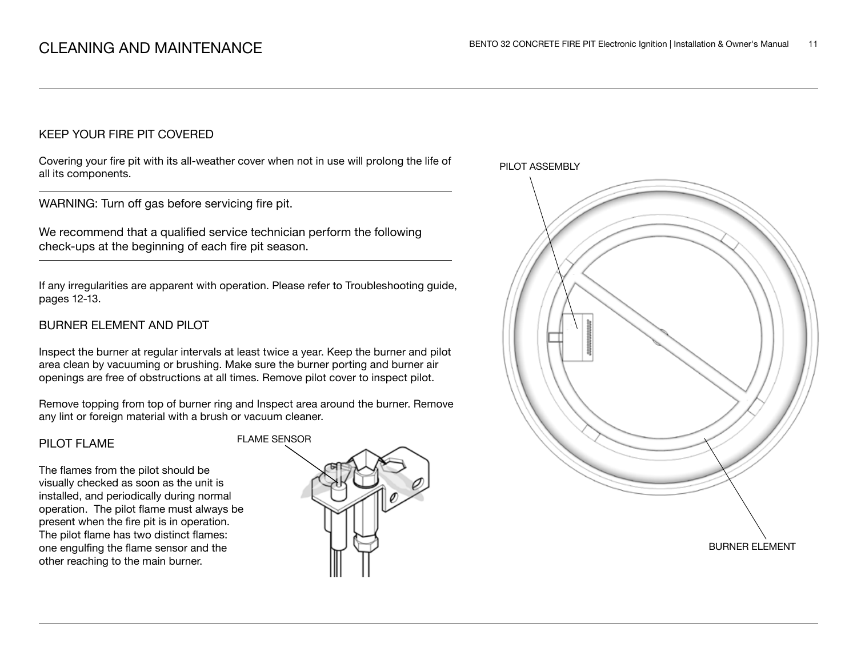## KEEP YOUR FIRE PIT COVERED

Covering your fire pit with its all-weather cover when not in use will prolong the life of all its components.

WARNING: Turn off gas before servicing fire pit.

We recommend that a qualified service technician perform the following check-ups at the beginning of each fire pit season.

If any irregularities are apparent with operation. Please refer to Troubleshooting guide, pages 12-13.

## BURNER ELEMENT AND PILOT

Inspect the burner at regular intervals at least twice a year. Keep the burner and pilot area clean by vacuuming or brushing. Make sure the burner porting and burner air openings are free of obstructions at all times. Remove pilot cover to inspect pilot.

Remove topping from top of burner ring and Inspect area around the burner. Remove any lint or foreign material with a brush or vacuum cleaner.

#### PILOT FLAME

The flames from the pilot should be visually checked as soon as the unit is installed, and periodically during normal operation. The pilot flame must always be present when the fire pit is in operation. The pilot flame has two distinct flames: one engulfing the flame sensor and the other reaching to the main burner.



PILOT ASSEMBLY

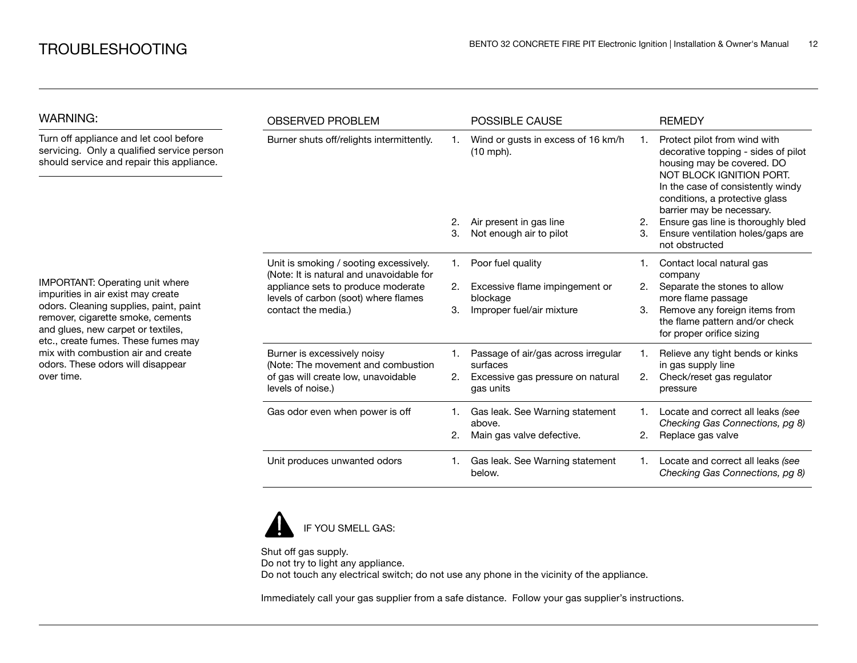| <b>WARNING:</b>                                                                                                                                                                                                                                                                                                                   | <b>OBSERVED PROBLEM</b>                                                                           |    | <b>POSSIBLE CAUSE</b>                           |    | <b>REMEDY</b>                                                                                                                                                                                                                     |
|-----------------------------------------------------------------------------------------------------------------------------------------------------------------------------------------------------------------------------------------------------------------------------------------------------------------------------------|---------------------------------------------------------------------------------------------------|----|-------------------------------------------------|----|-----------------------------------------------------------------------------------------------------------------------------------------------------------------------------------------------------------------------------------|
| Turn off appliance and let cool before<br>servicing. Only a qualified service person<br>should service and repair this appliance.                                                                                                                                                                                                 | Burner shuts off/relights intermittently.                                                         |    | Wind or gusts in excess of 16 km/h<br>(10 mph). | 1. | Protect pilot from wind with<br>decorative topping - sides of pilot<br>housing may be covered. DO<br>NOT BLOCK IGNITION PORT.<br>In the case of consistently windy<br>conditions, a protective glass<br>barrier may be necessary. |
|                                                                                                                                                                                                                                                                                                                                   |                                                                                                   |    | Air present in gas line                         | 2. | Ensure gas line is thoroughly bled                                                                                                                                                                                                |
| <b>IMPORTANT: Operating unit where</b><br>impurities in air exist may create<br>odors. Cleaning supplies, paint, paint<br>remover, cigarette smoke, cements<br>and glues, new carpet or textiles,<br>etc., create fumes. These fumes may<br>mix with combustion air and create<br>odors. These odors will disappear<br>over time. |                                                                                                   | 3. | Not enough air to pilot                         | 3. | Ensure ventilation holes/gaps are<br>not obstructed                                                                                                                                                                               |
|                                                                                                                                                                                                                                                                                                                                   | Unit is smoking / sooting excessively.<br>(Note: It is natural and unavoidable for                | 1. | Poor fuel quality                               |    | Contact local natural gas<br>company                                                                                                                                                                                              |
|                                                                                                                                                                                                                                                                                                                                   | appliance sets to produce moderate<br>levels of carbon (soot) where flames<br>contact the media.) | 2. | Excessive flame impingement or<br>blockage      | 2. | Separate the stones to allow<br>more flame passage                                                                                                                                                                                |
|                                                                                                                                                                                                                                                                                                                                   |                                                                                                   | 3. | Improper fuel/air mixture                       | 3. | Remove any foreign items from<br>the flame pattern and/or check<br>for proper orifice sizing                                                                                                                                      |
|                                                                                                                                                                                                                                                                                                                                   | Burner is excessively noisy<br>(Note: The movement and combustion                                 |    | Passage of air/gas across irregular<br>surfaces |    | Relieve any tight bends or kinks<br>in gas supply line                                                                                                                                                                            |
|                                                                                                                                                                                                                                                                                                                                   | of gas will create low, unavoidable<br>levels of noise.)                                          | 2. | Excessive gas pressure on natural<br>gas units  | 2. | Check/reset gas regulator<br>pressure                                                                                                                                                                                             |
|                                                                                                                                                                                                                                                                                                                                   | Gas odor even when power is off                                                                   |    | Gas leak. See Warning statement<br>above.       |    | Locate and correct all leaks (see<br>Checking Gas Connections, pg 8)                                                                                                                                                              |
|                                                                                                                                                                                                                                                                                                                                   |                                                                                                   | 2. | Main gas valve defective.                       | 2. | Replace gas valve                                                                                                                                                                                                                 |
|                                                                                                                                                                                                                                                                                                                                   | Unit produces unwanted odors                                                                      |    | Gas leak. See Warning statement<br>below.       |    | Locate and correct all leaks (see<br>Checking Gas Connections, pg 8)                                                                                                                                                              |



Shut off gas supply. Do not try to light any appliance. Do not touch any electrical switch; do not use any phone in the vicinity of the appliance.

Immediately call your gas supplier from a safe distance. Follow your gas supplier's instructions.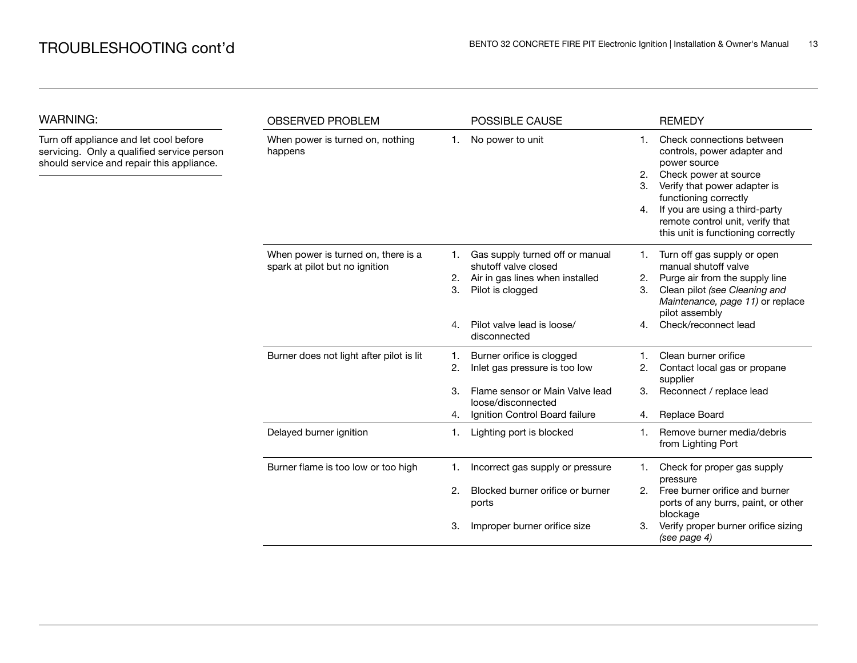| <b>WARNING:</b>                                                                                                                   | <b>OBSERVED PROBLEM</b>                                               |                | POSSIBLE CAUSE                                                                                                 |                      | <b>REMEDY</b>                                                                                                                                                                                                                                                          |  |
|-----------------------------------------------------------------------------------------------------------------------------------|-----------------------------------------------------------------------|----------------|----------------------------------------------------------------------------------------------------------------|----------------------|------------------------------------------------------------------------------------------------------------------------------------------------------------------------------------------------------------------------------------------------------------------------|--|
| Turn off appliance and let cool before<br>servicing. Only a qualified service person<br>should service and repair this appliance. | When power is turned on, nothing<br>happens                           | 1.             | No power to unit                                                                                               | 1.<br>2.<br>3.<br>4. | Check connections between<br>controls, power adapter and<br>power source<br>Check power at source<br>Verify that power adapter is<br>functioning correctly<br>If you are using a third-party<br>remote control unit, verify that<br>this unit is functioning correctly |  |
|                                                                                                                                   | When power is turned on, there is a<br>spark at pilot but no ignition | 1.<br>2.<br>3. | Gas supply turned off or manual<br>shutoff valve closed<br>Air in gas lines when installed<br>Pilot is clogged | 1.<br>2.<br>З.       | Turn off gas supply or open<br>manual shutoff valve<br>Purge air from the supply line<br>Clean pilot (see Cleaning and<br>Maintenance, page 11) or replace<br>pilot assembly                                                                                           |  |
|                                                                                                                                   |                                                                       | 4.             | Pilot valve lead is loose/<br>disconnected                                                                     | 4.                   | Check/reconnect lead                                                                                                                                                                                                                                                   |  |
|                                                                                                                                   | Burner does not light after pilot is lit                              | 1.<br>2.       | Burner orifice is clogged<br>Inlet gas pressure is too low                                                     | 2.                   | Clean burner orifice<br>Contact local gas or propane<br>supplier                                                                                                                                                                                                       |  |
|                                                                                                                                   |                                                                       | 3.<br>4.       | Flame sensor or Main Valve lead<br>loose/disconnected<br>Ignition Control Board failure                        | 3.<br>4.             | Reconnect / replace lead<br>Replace Board                                                                                                                                                                                                                              |  |
|                                                                                                                                   | Delayed burner ignition                                               | 1.             | Lighting port is blocked                                                                                       | 1.                   | Remove burner media/debris<br>from Lighting Port                                                                                                                                                                                                                       |  |
|                                                                                                                                   | Burner flame is too low or too high                                   | 1.             | Incorrect gas supply or pressure                                                                               | 1.                   | Check for proper gas supply<br>pressure                                                                                                                                                                                                                                |  |
|                                                                                                                                   |                                                                       | 2.             | Blocked burner orifice or burner<br>ports                                                                      | 2.                   | Free burner orifice and burner<br>ports of any burrs, paint, or other<br>blockage                                                                                                                                                                                      |  |
|                                                                                                                                   |                                                                       | З.             | Improper burner orifice size                                                                                   | З.                   | Verify proper burner orifice sizing<br>(see page 4)                                                                                                                                                                                                                    |  |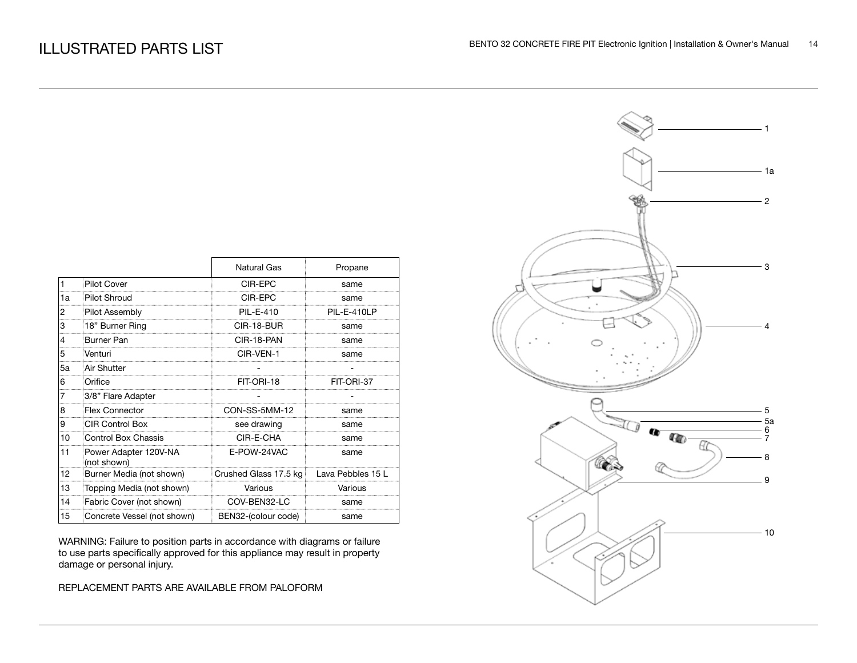|    |                                      | <b>Natural Gas</b>    | Propane           |
|----|--------------------------------------|-----------------------|-------------------|
| 1  | <b>Pilot Cover</b>                   | CIR-EPC               | same              |
| 1a | <b>Pilot Shroud</b>                  | CIR-EPC               | same              |
| 2  | Pilot Assembly                       | <b>PIL-E-410</b>      | PIL-E-410LP       |
| 3  | 18" Burner Ring                      | CIR-18-BUR            | same              |
| 4  | Burner Pan                           | CIR-18-PAN            | same              |
| 5  | Venturi                              | CIR-VEN-1             | same              |
| 5a | Air Shutter                          |                       |                   |
| 6  | Orifice                              | FIT-ORI-18            | FIT-ORI-37        |
|    | 3/8" Flare Adapter                   |                       |                   |
| 8  | <b>Flex Connector</b>                | CON-SS-5MM-12         | same              |
| 9  | <b>CIR Control Box</b>               | see drawing           | same              |
| 10 | Control Box Chassis                  | CIR-E-CHA             | same              |
| 11 | Power Adapter 120V-NA<br>(not shown) | E-POW-24VAC           | same              |
| 12 | Burner Media (not shown)             | Crushed Glass 17.5 kg | Lava Pebbles 15 L |
| 13 | Topping Media (not shown)            | Various               | Various           |
| 14 | Fabric Cover (not shown)             | COV-BEN32-LC          | same              |
| 15 | Concrete Vessel (not shown)          | BEN32-(colour code)   | same              |

WARNING: Failure to position parts in accordance with diagrams or failure to use parts specifically approved for this appliance may result in property damage or personal injury.

REPLACEMENT PARTS ARE AVAILABLE FROM PALOFORM

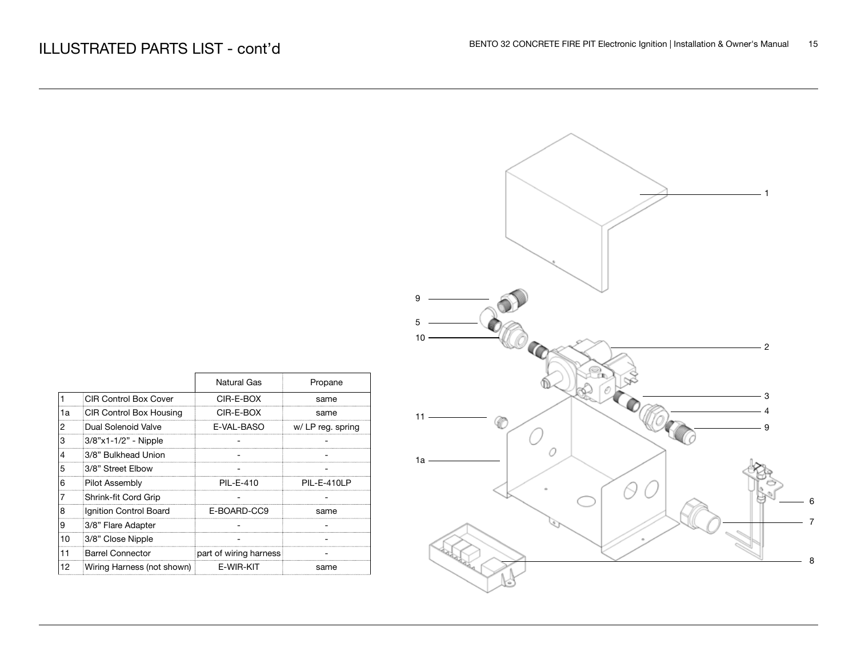|    |                                |                        |                   | ັບ |
|----|--------------------------------|------------------------|-------------------|----|
|    |                                |                        |                   | 5  |
|    |                                |                        |                   | 10 |
|    |                                |                        |                   |    |
|    |                                |                        |                   |    |
|    |                                | <b>Natural Gas</b>     | Propane           |    |
| 1  | <b>CIR Control Box Cover</b>   | CIR-E-BOX              | same              |    |
| 1a | <b>CIR Control Box Housing</b> | CIR-E-BOX              | same              | 11 |
| 2  | Dual Solenoid Valve            | E-VAL-BASO             | w/ LP reg. spring |    |
| 3  | 3/8"x1-1/2" - Nipple           |                        |                   |    |
| 4  | 3/8" Bulkhead Union            |                        |                   | 1a |
| 5  | 3/8" Street Elbow              |                        |                   |    |
| 6  | Pilot Assembly                 | PIL-E-410              | PII-F-410LP       |    |
| 7  | Shrink-fit Cord Grip           |                        |                   |    |
| 8  | Ignition Control Board         | E-BOARD-CC9            | same              |    |
| 9  | 3/8" Flare Adapter             |                        |                   |    |
| 10 | 3/8" Close Nipple              |                        |                   |    |
| 11 | <b>Barrel Connector</b>        | part of wiring harness |                   |    |
| 12 | Wiring Harness (not shown)     | E-WIR-KIT              | same              |    |

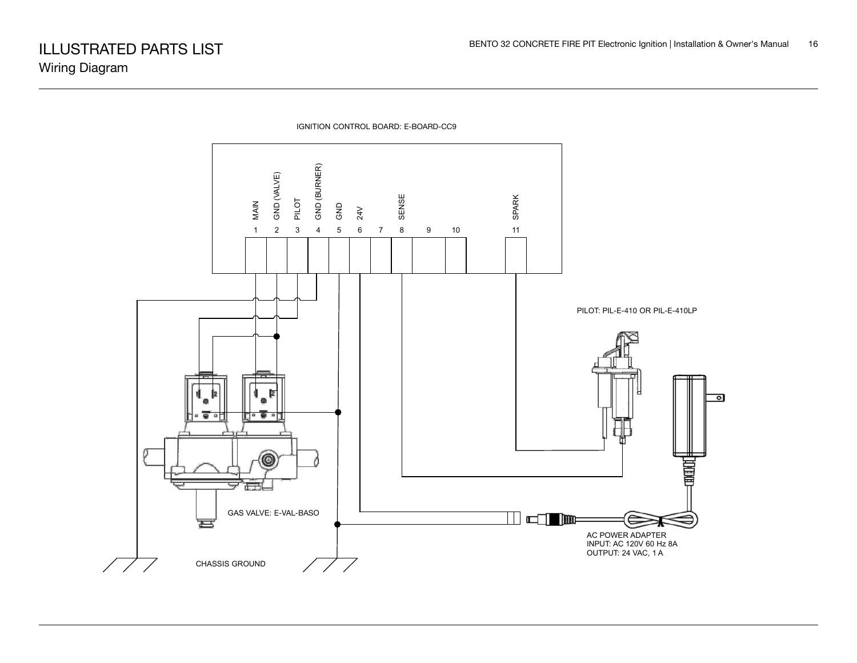

IGNITION CONTROL BOARD: E-BOARD-CC9